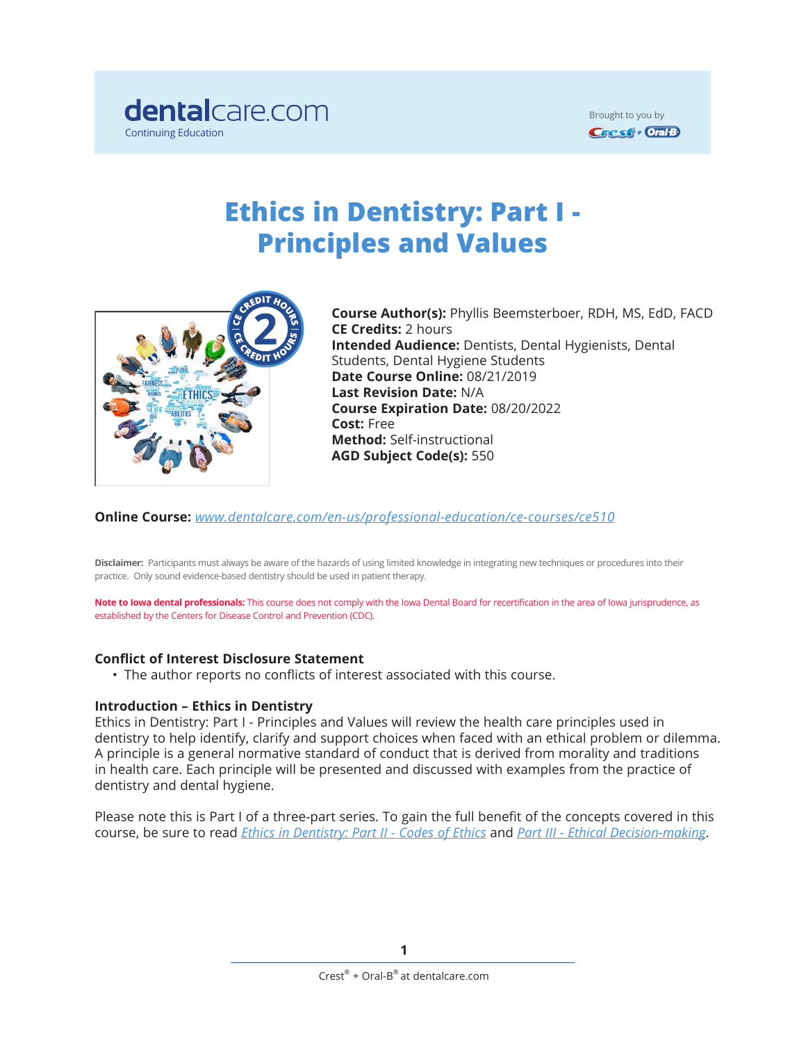

Brought to you by**Crest + Oral B** 

# **Ethics in Dentistry: Part I - Principles and Values**



**Course Author(s):** Phyllis Beemsterboer, RDH, MS, EdD, FACD **CE Credits:** 2 hours **Intended Audience:** Dentists, Dental Hygienists, Dental Students, Dental Hygiene Students **Date Course Online:** 08/21/2019 **Last Revision Date:** N/A **Course Expiration Date:** 08/20/2022 **Cost:** Free **Method:** Self-instructional **AGD Subject Code(s):** 550

**Online Course:** *[www.dentalcare.com/en-us/professional-education/ce-courses/ce51](https://www.dentalcare.com/en-us/professional-education/ce-courses/ce510)0*

**Disclaimer:** Participants must always be aware of the hazards of using limited knowledge in integrating new techniques or procedures into their practice. Only sound evidence-based dentistry should be used in patient therapy.

**Note to Iowa dental professionals:** This course does not comply with the Iowa Dental Board for recertification in the area of Iowa jurisprudence, as established by the Centers for Disease Control and Prevention (CDC).

### **Conflict of Interest Disclosure Statement**

• The author reports no conflicts of interest associated with this course.

### **Introduction – Ethics in Dentistry**

Ethics in Dentistry: Part I - Principles and Values will review the health care principles used in dentistry to help identify, clarify and support choices when faced with an ethical problem or dilemma. A principle is a general normative standard of conduct that is derived from morality and traditions in health care. Each principle will be presented and discussed with examples from the practice of dentistry and dental hygiene.

Please note this is Part I of a three-part series. To gain the full benefit of the concepts covered in this course, be sure to read *[Ethics in Dentistry: Part II - Codes of Ethics](https://www.dentalcare.com/en-us/professional-education/ce-courses/ce528)* and *[Part III - Ethical Decision-making](https://www.dentalcare.com/en-us/professional-education/ce-courses/ce546)*.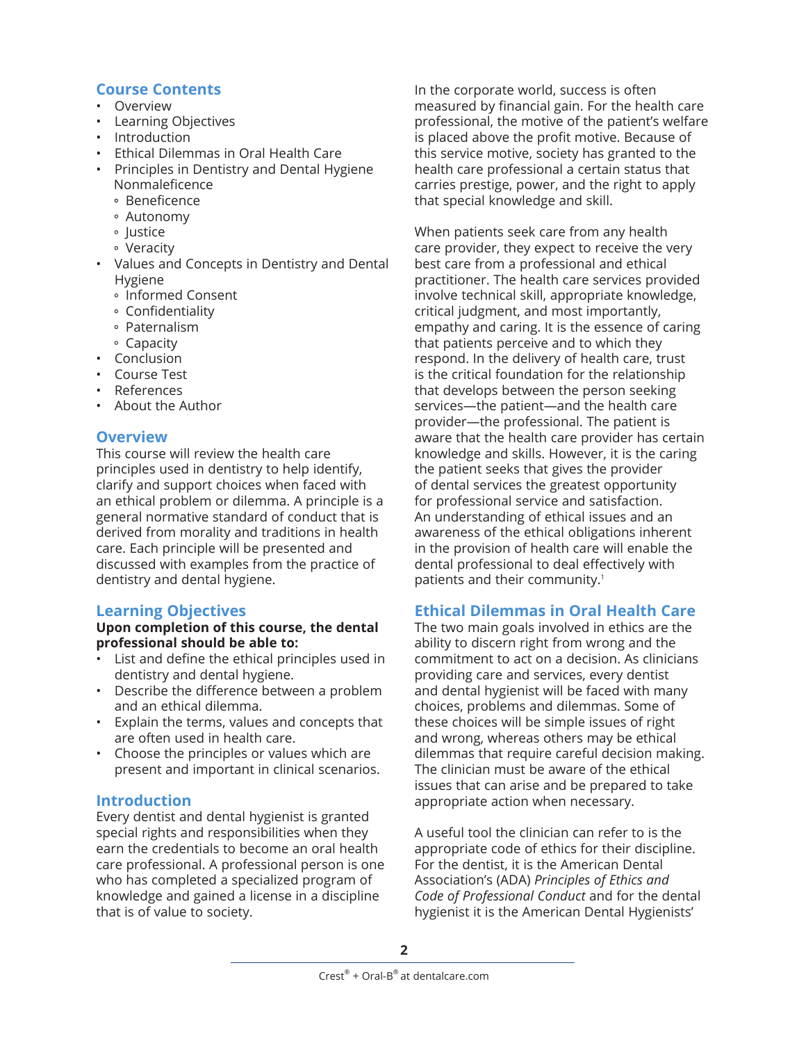# **Course Contents**

- Overview
- Learning Objectives
- Introduction
- Ethical Dilemmas in Oral Health Care
- Principles in Dentistry and Dental Hygiene Nonmaleficence
	- Beneficence
	- Autonomy
	- Justice
	- Veracity
- Values and Concepts in Dentistry and Dental Hygiene
	- Informed Consent
	- Confidentiality
	- Paternalism
	- Capacity
- Conclusion
- Course Test
- References
- About the Author

# **Overview**

This course will review the health care principles used in dentistry to help identify, clarify and support choices when faced with an ethical problem or dilemma. A principle is a general normative standard of conduct that is derived from morality and traditions in health care. Each principle will be presented and discussed with examples from the practice of dentistry and dental hygiene.

## **Learning Objectives**

**Upon completion of this course, the dental professional should be able to:**

- List and define the ethical principles used in dentistry and dental hygiene.
- Describe the difference between a problem and an ethical dilemma.
- Explain the terms, values and concepts that are often used in health care.
- Choose the principles or values which are present and important in clinical scenarios.

## **Introduction**

Every dentist and dental hygienist is granted special rights and responsibilities when they earn the credentials to become an oral health care professional. A professional person is one who has completed a specialized program of knowledge and gained a license in a discipline that is of value to society.

In the corporate world, success is often measured by financial gain. For the health care professional, the motive of the patient's welfare is placed above the profit motive. Because of this service motive, society has granted to the health care professional a certain status that carries prestige, power, and the right to apply that special knowledge and skill.

When patients seek care from any health care provider, they expect to receive the very best care from a professional and ethical practitioner. The health care services provided involve technical skill, appropriate knowledge, critical judgment, and most importantly, empathy and caring. It is the essence of caring that patients perceive and to which they respond. In the delivery of health care, trust is the critical foundation for the relationship that develops between the person seeking services—the patient—and the health care provider—the professional. The patient is aware that the health care provider has certain knowledge and skills. However, it is the caring the patient seeks that gives the provider of dental services the greatest opportunity for professional service and satisfaction. An understanding of ethical issues and an awareness of the ethical obligations inherent in the provision of health care will enable the dental professional to deal effectively with patients and their community.<sup>1</sup>

# **Ethical Dilemmas in Oral Health Care**

The two main goals involved in ethics are the ability to discern right from wrong and the commitment to act on a decision. As clinicians providing care and services, every dentist and dental hygienist will be faced with many choices, problems and dilemmas. Some of these choices will be simple issues of right and wrong, whereas others may be ethical dilemmas that require careful decision making. The clinician must be aware of the ethical issues that can arise and be prepared to take appropriate action when necessary.

A useful tool the clinician can refer to is the appropriate code of ethics for their discipline. For the dentist, it is the American Dental Association's (ADA) *Principles of Ethics and Code of Professional Conduct* and for the dental hygienist it is the American Dental Hygienists'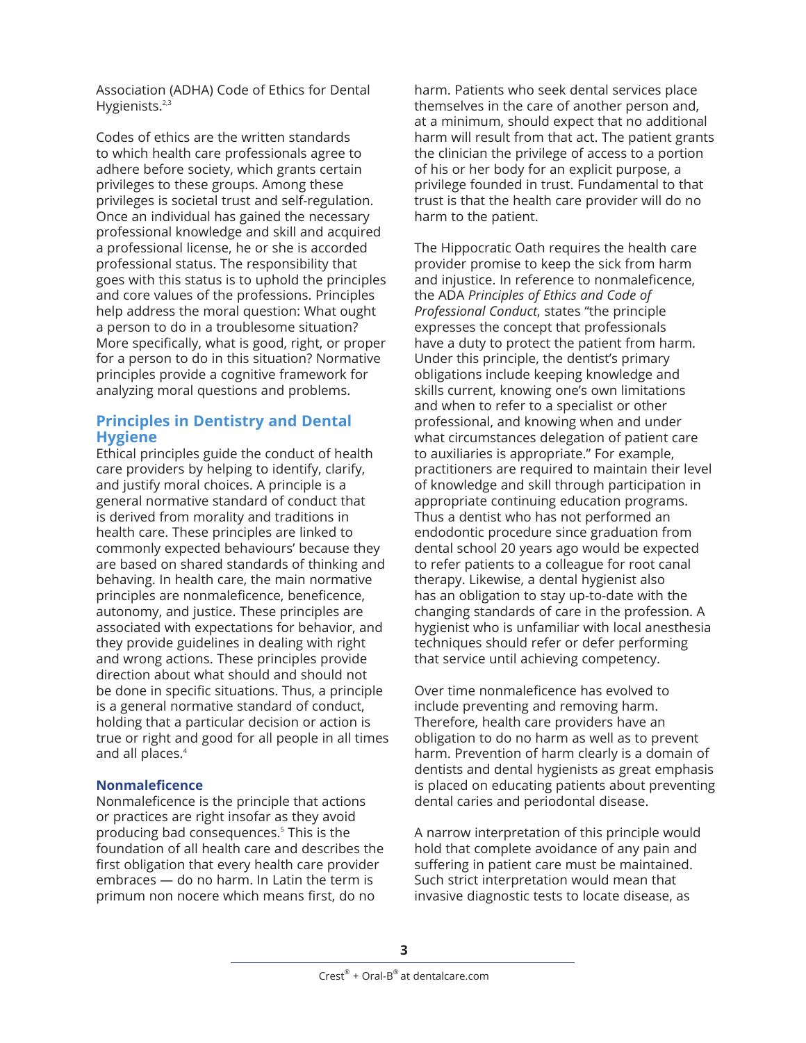Association (ADHA) Code of Ethics for Dental Hygienists.<sup>2,3</sup>

Codes of ethics are the written standards to which health care professionals agree to adhere before society, which grants certain privileges to these groups. Among these privileges is societal trust and self-regulation. Once an individual has gained the necessary professional knowledge and skill and acquired a professional license, he or she is accorded professional status. The responsibility that goes with this status is to uphold the principles and core values of the professions. Principles help address the moral question: What ought a person to do in a troublesome situation? More specifically, what is good, right, or proper for a person to do in this situation? Normative principles provide a cognitive framework for analyzing moral questions and problems.

# **Principles in Dentistry and Dental Hygiene**

Ethical principles guide the conduct of health care providers by helping to identify, clarify, and justify moral choices. A principle is a general normative standard of conduct that is derived from morality and traditions in health care. These principles are linked to commonly expected behaviours' because they are based on shared standards of thinking and behaving. In health care, the main normative principles are nonmaleficence, beneficence, autonomy, and justice. These principles are associated with expectations for behavior, and they provide guidelines in dealing with right and wrong actions. These principles provide direction about what should and should not be done in specific situations. Thus, a principle is a general normative standard of conduct, holding that a particular decision or action is true or right and good for all people in all times and all places.<sup>4</sup>

## **Nonmaleficence**

Nonmaleficence is the principle that actions or practices are right insofar as they avoid producing bad consequences.5 This is the foundation of all health care and describes the first obligation that every health care provider embraces — do no harm. In Latin the term is primum non nocere which means first, do no

harm. Patients who seek dental services place themselves in the care of another person and, at a minimum, should expect that no additional harm will result from that act. The patient grants the clinician the privilege of access to a portion of his or her body for an explicit purpose, a privilege founded in trust. Fundamental to that trust is that the health care provider will do no harm to the patient.

The Hippocratic Oath requires the health care provider promise to keep the sick from harm and injustice. In reference to nonmaleficence, the ADA *Principles of Ethics and Code of Professional Conduct*, states "the principle expresses the concept that professionals have a duty to protect the patient from harm. Under this principle, the dentist's primary obligations include keeping knowledge and skills current, knowing one's own limitations and when to refer to a specialist or other professional, and knowing when and under what circumstances delegation of patient care to auxiliaries is appropriate." For example, practitioners are required to maintain their level of knowledge and skill through participation in appropriate continuing education programs. Thus a dentist who has not performed an endodontic procedure since graduation from dental school 20 years ago would be expected to refer patients to a colleague for root canal therapy. Likewise, a dental hygienist also has an obligation to stay up-to-date with the changing standards of care in the profession. A hygienist who is unfamiliar with local anesthesia techniques should refer or defer performing that service until achieving competency.

Over time nonmaleficence has evolved to include preventing and removing harm. Therefore, health care providers have an obligation to do no harm as well as to prevent harm. Prevention of harm clearly is a domain of dentists and dental hygienists as great emphasis is placed on educating patients about preventing dental caries and periodontal disease.

A narrow interpretation of this principle would hold that complete avoidance of any pain and suffering in patient care must be maintained. Such strict interpretation would mean that invasive diagnostic tests to locate disease, as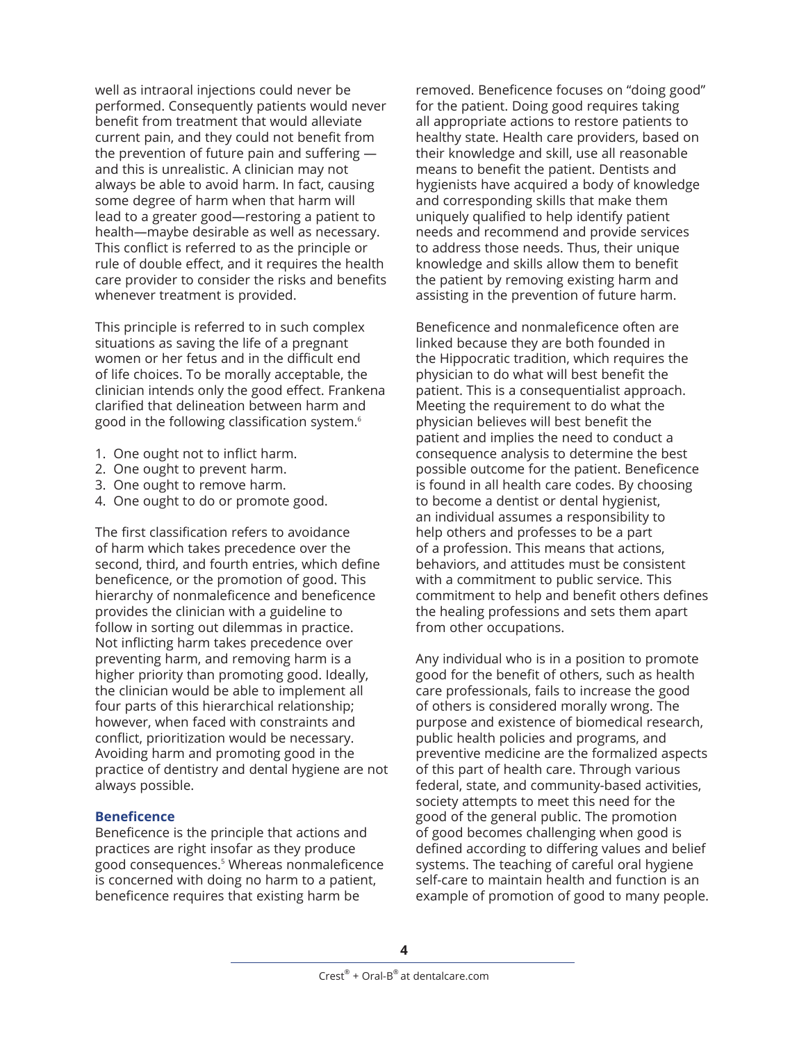well as intraoral injections could never be performed. Consequently patients would never benefit from treatment that would alleviate current pain, and they could not benefit from the prevention of future pain and suffering and this is unrealistic. A clinician may not always be able to avoid harm. In fact, causing some degree of harm when that harm will lead to a greater good—restoring a patient to health—maybe desirable as well as necessary. This conflict is referred to as the principle or rule of double effect, and it requires the health care provider to consider the risks and benefits whenever treatment is provided.

This principle is referred to in such complex situations as saving the life of a pregnant women or her fetus and in the difficult end of life choices. To be morally acceptable, the clinician intends only the good effect. Frankena clarified that delineation between harm and good in the following classification system.6

- 1. One ought not to inflict harm.
- 2. One ought to prevent harm.
- 3. One ought to remove harm.
- 4. One ought to do or promote good.

The first classification refers to avoidance of harm which takes precedence over the second, third, and fourth entries, which define beneficence, or the promotion of good. This hierarchy of nonmaleficence and beneficence provides the clinician with a guideline to follow in sorting out dilemmas in practice. Not inflicting harm takes precedence over preventing harm, and removing harm is a higher priority than promoting good. Ideally, the clinician would be able to implement all four parts of this hierarchical relationship; however, when faced with constraints and conflict, prioritization would be necessary. Avoiding harm and promoting good in the practice of dentistry and dental hygiene are not always possible.

### **Beneficence**

Beneficence is the principle that actions and practices are right insofar as they produce good consequences.5 Whereas nonmaleficence is concerned with doing no harm to a patient, beneficence requires that existing harm be

removed. Beneficence focuses on "doing good" for the patient. Doing good requires taking all appropriate actions to restore patients to healthy state. Health care providers, based on their knowledge and skill, use all reasonable means to benefit the patient. Dentists and hygienists have acquired a body of knowledge and corresponding skills that make them uniquely qualified to help identify patient needs and recommend and provide services to address those needs. Thus, their unique knowledge and skills allow them to benefit the patient by removing existing harm and assisting in the prevention of future harm.

Beneficence and nonmaleficence often are linked because they are both founded in the Hippocratic tradition, which requires the physician to do what will best benefit the patient. This is a consequentialist approach. Meeting the requirement to do what the physician believes will best benefit the patient and implies the need to conduct a consequence analysis to determine the best possible outcome for the patient. Beneficence is found in all health care codes. By choosing to become a dentist or dental hygienist, an individual assumes a responsibility to help others and professes to be a part of a profession. This means that actions, behaviors, and attitudes must be consistent with a commitment to public service. This commitment to help and benefit others defines the healing professions and sets them apart from other occupations.

Any individual who is in a position to promote good for the benefit of others, such as health care professionals, fails to increase the good of others is considered morally wrong. The purpose and existence of biomedical research, public health policies and programs, and preventive medicine are the formalized aspects of this part of health care. Through various federal, state, and community-based activities, society attempts to meet this need for the good of the general public. The promotion of good becomes challenging when good is defined according to differing values and belief systems. The teaching of careful oral hygiene self-care to maintain health and function is an example of promotion of good to many people.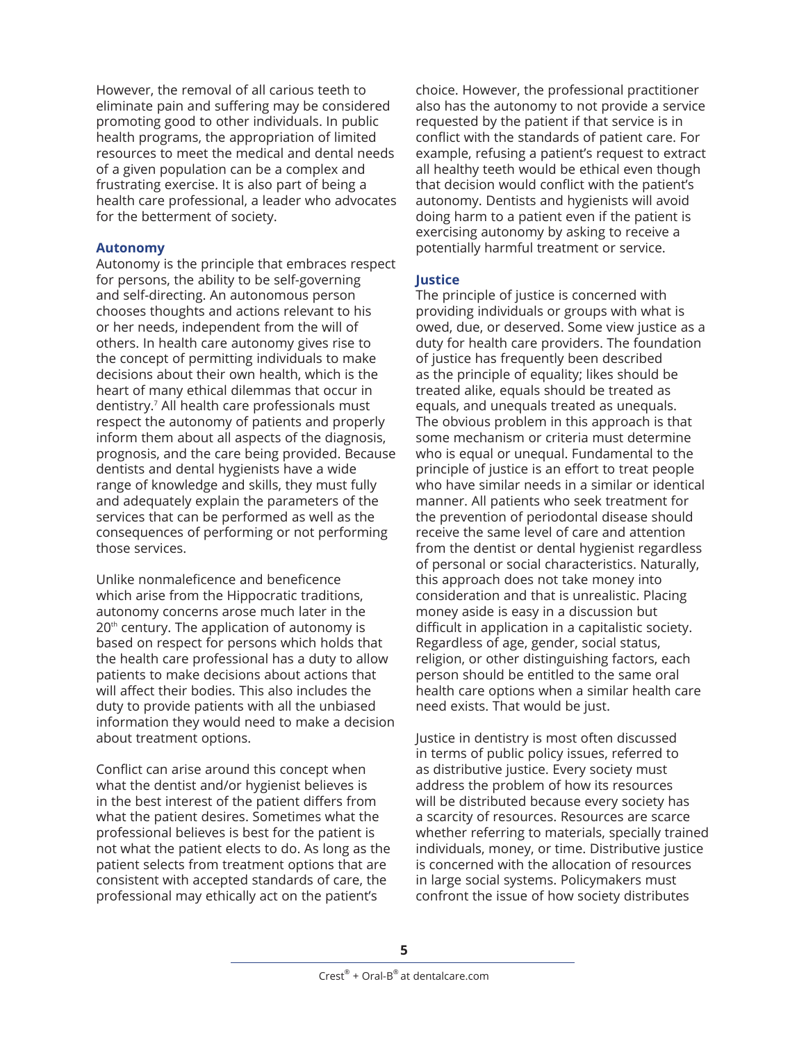However, the removal of all carious teeth to eliminate pain and suffering may be considered promoting good to other individuals. In public health programs, the appropriation of limited resources to meet the medical and dental needs of a given population can be a complex and frustrating exercise. It is also part of being a health care professional, a leader who advocates for the betterment of society.

## **Autonomy**

Autonomy is the principle that embraces respect for persons, the ability to be self-governing and self-directing. An autonomous person chooses thoughts and actions relevant to his or her needs, independent from the will of others. In health care autonomy gives rise to the concept of permitting individuals to make decisions about their own health, which is the heart of many ethical dilemmas that occur in dentistry.7 All health care professionals must respect the autonomy of patients and properly inform them about all aspects of the diagnosis, prognosis, and the care being provided. Because dentists and dental hygienists have a wide range of knowledge and skills, they must fully and adequately explain the parameters of the services that can be performed as well as the consequences of performing or not performing those services.

Unlike nonmaleficence and beneficence which arise from the Hippocratic traditions, autonomy concerns arose much later in the  $20<sup>th</sup>$  century. The application of autonomy is based on respect for persons which holds that the health care professional has a duty to allow patients to make decisions about actions that will affect their bodies. This also includes the duty to provide patients with all the unbiased information they would need to make a decision about treatment options.

Conflict can arise around this concept when what the dentist and/or hygienist believes is in the best interest of the patient differs from what the patient desires. Sometimes what the professional believes is best for the patient is not what the patient elects to do. As long as the patient selects from treatment options that are consistent with accepted standards of care, the professional may ethically act on the patient's

choice. However, the professional practitioner also has the autonomy to not provide a service requested by the patient if that service is in conflict with the standards of patient care. For example, refusing a patient's request to extract all healthy teeth would be ethical even though that decision would conflict with the patient's autonomy. Dentists and hygienists will avoid doing harm to a patient even if the patient is exercising autonomy by asking to receive a potentially harmful treatment or service.

## **Justice**

The principle of justice is concerned with providing individuals or groups with what is owed, due, or deserved. Some view justice as a duty for health care providers. The foundation of justice has frequently been described as the principle of equality; likes should be treated alike, equals should be treated as equals, and unequals treated as unequals. The obvious problem in this approach is that some mechanism or criteria must determine who is equal or unequal. Fundamental to the principle of justice is an effort to treat people who have similar needs in a similar or identical manner. All patients who seek treatment for the prevention of periodontal disease should receive the same level of care and attention from the dentist or dental hygienist regardless of personal or social characteristics. Naturally, this approach does not take money into consideration and that is unrealistic. Placing money aside is easy in a discussion but difficult in application in a capitalistic society. Regardless of age, gender, social status, religion, or other distinguishing factors, each person should be entitled to the same oral health care options when a similar health care need exists. That would be just.

Justice in dentistry is most often discussed in terms of public policy issues, referred to as distributive justice. Every society must address the problem of how its resources will be distributed because every society has a scarcity of resources. Resources are scarce whether referring to materials, specially trained individuals, money, or time. Distributive justice is concerned with the allocation of resources in large social systems. Policymakers must confront the issue of how society distributes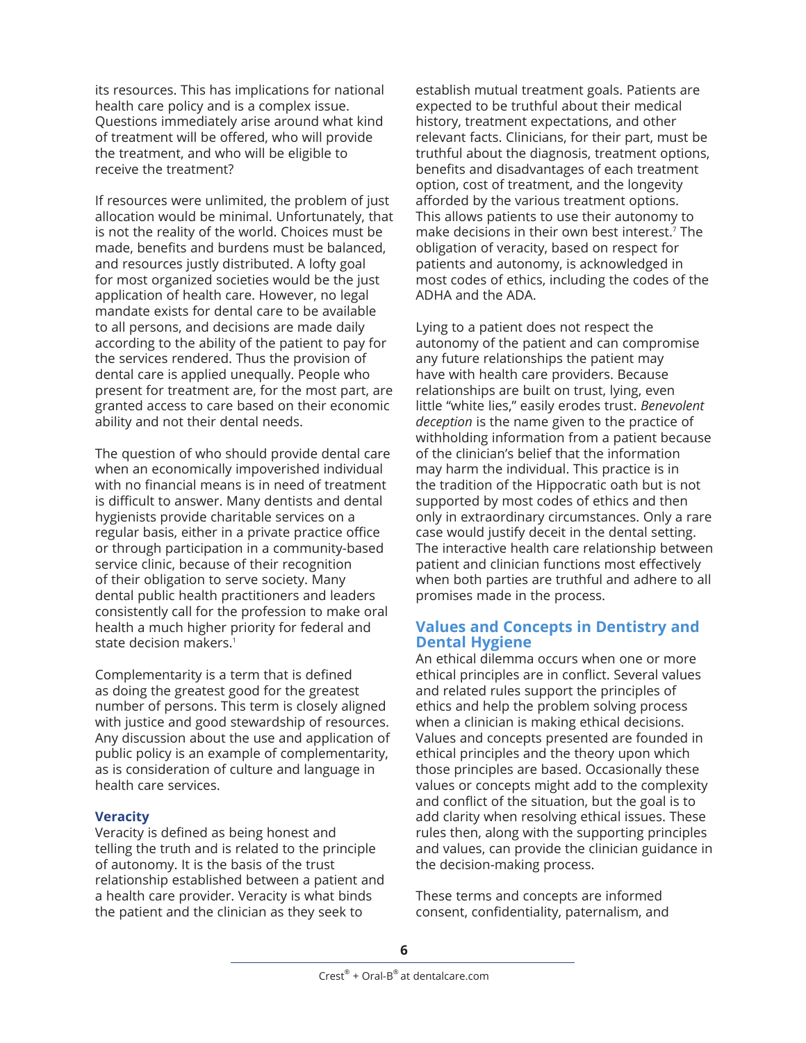its resources. This has implications for national health care policy and is a complex issue. Questions immediately arise around what kind of treatment will be offered, who will provide the treatment, and who will be eligible to receive the treatment?

If resources were unlimited, the problem of just allocation would be minimal. Unfortunately, that is not the reality of the world. Choices must be made, benefits and burdens must be balanced, and resources justly distributed. A lofty goal for most organized societies would be the just application of health care. However, no legal mandate exists for dental care to be available to all persons, and decisions are made daily according to the ability of the patient to pay for the services rendered. Thus the provision of dental care is applied unequally. People who present for treatment are, for the most part, are granted access to care based on their economic ability and not their dental needs.

The question of who should provide dental care when an economically impoverished individual with no financial means is in need of treatment is difficult to answer. Many dentists and dental hygienists provide charitable services on a regular basis, either in a private practice office or through participation in a community-based service clinic, because of their recognition of their obligation to serve society. Many dental public health practitioners and leaders consistently call for the profession to make oral health a much higher priority for federal and state decision makers.<sup>1</sup>

Complementarity is a term that is defined as doing the greatest good for the greatest number of persons. This term is closely aligned with justice and good stewardship of resources. Any discussion about the use and application of public policy is an example of complementarity, as is consideration of culture and language in health care services.

### **Veracity**

Veracity is defined as being honest and telling the truth and is related to the principle of autonomy. It is the basis of the trust relationship established between a patient and a health care provider. Veracity is what binds the patient and the clinician as they seek to

establish mutual treatment goals. Patients are expected to be truthful about their medical history, treatment expectations, and other relevant facts. Clinicians, for their part, must be truthful about the diagnosis, treatment options, benefits and disadvantages of each treatment option, cost of treatment, and the longevity afforded by the various treatment options. This allows patients to use their autonomy to make decisions in their own best interest.<sup>7</sup> The obligation of veracity, based on respect for patients and autonomy, is acknowledged in most codes of ethics, including the codes of the ADHA and the ADA.

Lying to a patient does not respect the autonomy of the patient and can compromise any future relationships the patient may have with health care providers. Because relationships are built on trust, lying, even little "white lies," easily erodes trust. *Benevolent deception* is the name given to the practice of withholding information from a patient because of the clinician's belief that the information may harm the individual. This practice is in the tradition of the Hippocratic oath but is not supported by most codes of ethics and then only in extraordinary circumstances. Only a rare case would justify deceit in the dental setting. The interactive health care relationship between patient and clinician functions most effectively when both parties are truthful and adhere to all promises made in the process.

## **Values and Concepts in Dentistry and Dental Hygiene**

An ethical dilemma occurs when one or more ethical principles are in conflict. Several values and related rules support the principles of ethics and help the problem solving process when a clinician is making ethical decisions. Values and concepts presented are founded in ethical principles and the theory upon which those principles are based. Occasionally these values or concepts might add to the complexity and conflict of the situation, but the goal is to add clarity when resolving ethical issues. These rules then, along with the supporting principles and values, can provide the clinician guidance in the decision-making process.

These terms and concepts are informed consent, confidentiality, paternalism, and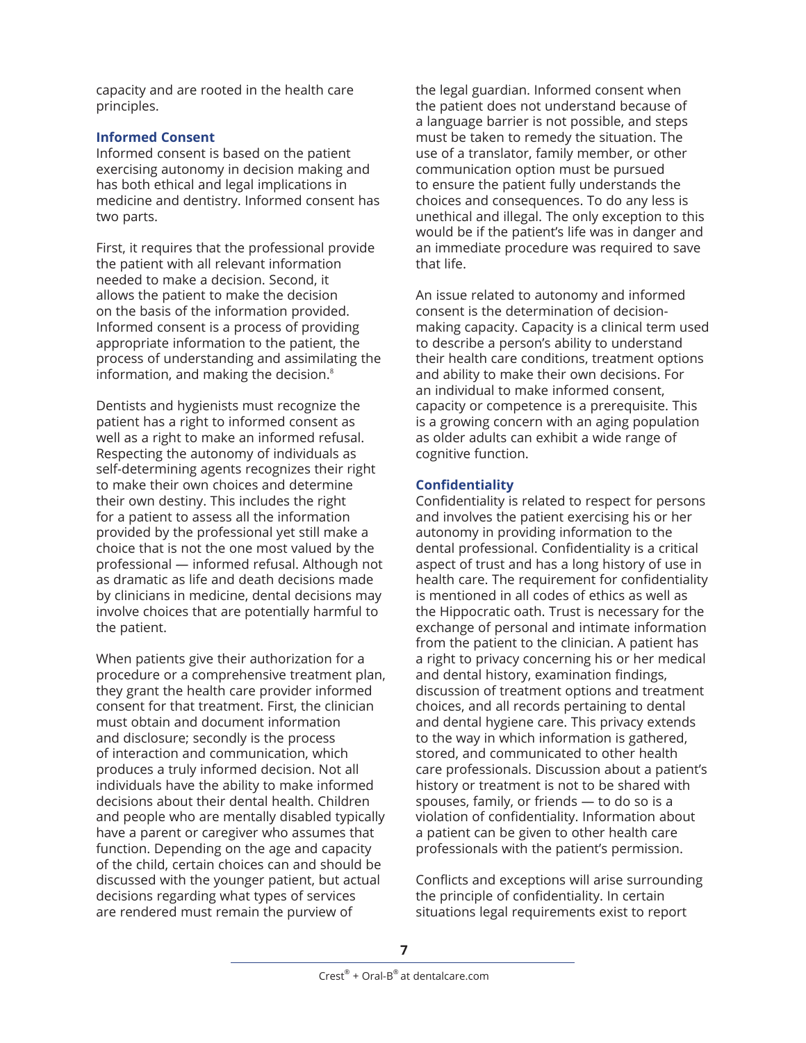capacity and are rooted in the health care principles.

## **Informed Consent**

Informed consent is based on the patient exercising autonomy in decision making and has both ethical and legal implications in medicine and dentistry. Informed consent has two parts.

First, it requires that the professional provide the patient with all relevant information needed to make a decision. Second, it allows the patient to make the decision on the basis of the information provided. Informed consent is a process of providing appropriate information to the patient, the process of understanding and assimilating the information, and making the decision.<sup>8</sup>

Dentists and hygienists must recognize the patient has a right to informed consent as well as a right to make an informed refusal. Respecting the autonomy of individuals as self-determining agents recognizes their right to make their own choices and determine their own destiny. This includes the right for a patient to assess all the information provided by the professional yet still make a choice that is not the one most valued by the professional — informed refusal. Although not as dramatic as life and death decisions made by clinicians in medicine, dental decisions may involve choices that are potentially harmful to the patient.

When patients give their authorization for a procedure or a comprehensive treatment plan, they grant the health care provider informed consent for that treatment. First, the clinician must obtain and document information and disclosure; secondly is the process of interaction and communication, which produces a truly informed decision. Not all individuals have the ability to make informed decisions about their dental health. Children and people who are mentally disabled typically have a parent or caregiver who assumes that function. Depending on the age and capacity of the child, certain choices can and should be discussed with the younger patient, but actual decisions regarding what types of services are rendered must remain the purview of

the legal guardian. Informed consent when the patient does not understand because of a language barrier is not possible, and steps must be taken to remedy the situation. The use of a translator, family member, or other communication option must be pursued to ensure the patient fully understands the choices and consequences. To do any less is unethical and illegal. The only exception to this would be if the patient's life was in danger and an immediate procedure was required to save that life.

An issue related to autonomy and informed consent is the determination of decisionmaking capacity. Capacity is a clinical term used to describe a person's ability to understand their health care conditions, treatment options and ability to make their own decisions. For an individual to make informed consent, capacity or competence is a prerequisite. This is a growing concern with an aging population as older adults can exhibit a wide range of cognitive function.

## **Confidentiality**

Confidentiality is related to respect for persons and involves the patient exercising his or her autonomy in providing information to the dental professional. Confidentiality is a critical aspect of trust and has a long history of use in health care. The requirement for confidentiality is mentioned in all codes of ethics as well as the Hippocratic oath. Trust is necessary for the exchange of personal and intimate information from the patient to the clinician. A patient has a right to privacy concerning his or her medical and dental history, examination findings, discussion of treatment options and treatment choices, and all records pertaining to dental and dental hygiene care. This privacy extends to the way in which information is gathered, stored, and communicated to other health care professionals. Discussion about a patient's history or treatment is not to be shared with spouses, family, or friends — to do so is a violation of confidentiality. Information about a patient can be given to other health care professionals with the patient's permission.

Conflicts and exceptions will arise surrounding the principle of confidentiality. In certain situations legal requirements exist to report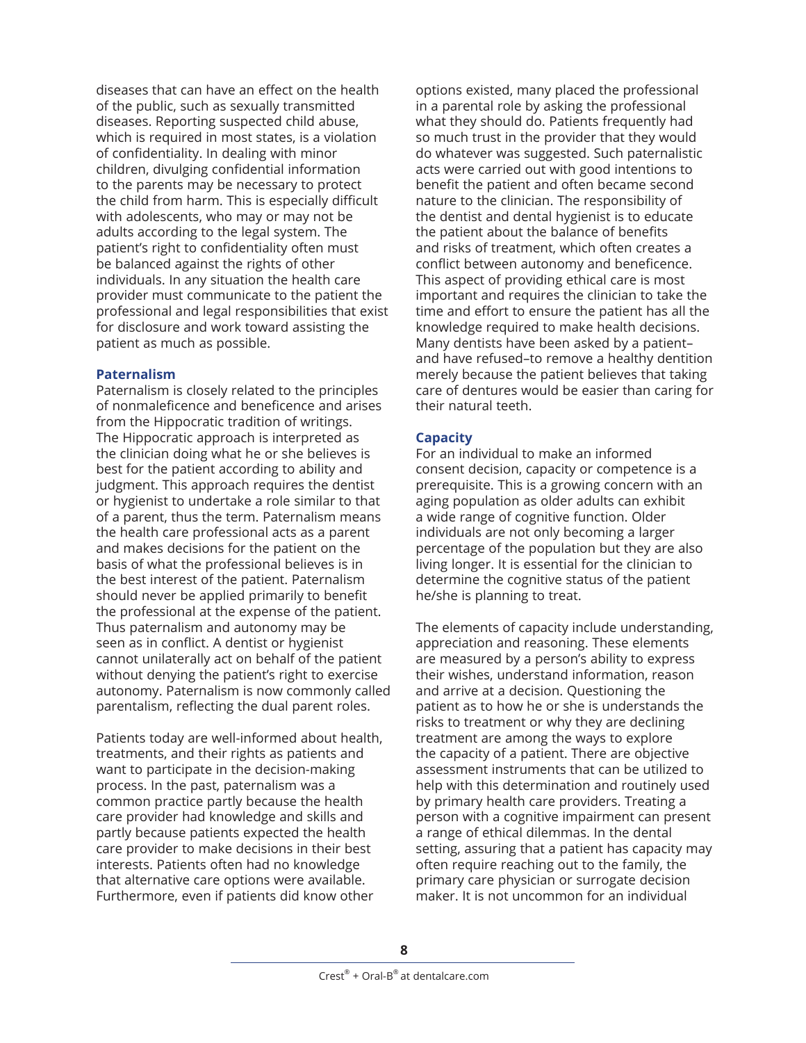diseases that can have an effect on the health of the public, such as sexually transmitted diseases. Reporting suspected child abuse, which is required in most states, is a violation of confidentiality. In dealing with minor children, divulging confidential information to the parents may be necessary to protect the child from harm. This is especially difficult with adolescents, who may or may not be adults according to the legal system. The patient's right to confidentiality often must be balanced against the rights of other individuals. In any situation the health care provider must communicate to the patient the professional and legal responsibilities that exist for disclosure and work toward assisting the patient as much as possible.

### **Paternalism**

Paternalism is closely related to the principles of nonmaleficence and beneficence and arises from the Hippocratic tradition of writings. The Hippocratic approach is interpreted as the clinician doing what he or she believes is best for the patient according to ability and judgment. This approach requires the dentist or hygienist to undertake a role similar to that of a parent, thus the term. Paternalism means the health care professional acts as a parent and makes decisions for the patient on the basis of what the professional believes is in the best interest of the patient. Paternalism should never be applied primarily to benefit the professional at the expense of the patient. Thus paternalism and autonomy may be seen as in conflict. A dentist or hygienist cannot unilaterally act on behalf of the patient without denying the patient's right to exercise autonomy. Paternalism is now commonly called parentalism, reflecting the dual parent roles.

Patients today are well-informed about health, treatments, and their rights as patients and want to participate in the decision-making process. In the past, paternalism was a common practice partly because the health care provider had knowledge and skills and partly because patients expected the health care provider to make decisions in their best interests. Patients often had no knowledge that alternative care options were available. Furthermore, even if patients did know other

options existed, many placed the professional in a parental role by asking the professional what they should do. Patients frequently had so much trust in the provider that they would do whatever was suggested. Such paternalistic acts were carried out with good intentions to benefit the patient and often became second nature to the clinician. The responsibility of the dentist and dental hygienist is to educate the patient about the balance of benefits and risks of treatment, which often creates a conflict between autonomy and beneficence. This aspect of providing ethical care is most important and requires the clinician to take the time and effort to ensure the patient has all the knowledge required to make health decisions. Many dentists have been asked by a patient– and have refused–to remove a healthy dentition merely because the patient believes that taking care of dentures would be easier than caring for their natural teeth.

## **Capacity**

For an individual to make an informed consent decision, capacity or competence is a prerequisite. This is a growing concern with an aging population as older adults can exhibit a wide range of cognitive function. Older individuals are not only becoming a larger percentage of the population but they are also living longer. It is essential for the clinician to determine the cognitive status of the patient he/she is planning to treat.

The elements of capacity include understanding, appreciation and reasoning. These elements are measured by a person's ability to express their wishes, understand information, reason and arrive at a decision. Questioning the patient as to how he or she is understands the risks to treatment or why they are declining treatment are among the ways to explore the capacity of a patient. There are objective assessment instruments that can be utilized to help with this determination and routinely used by primary health care providers. Treating a person with a cognitive impairment can present a range of ethical dilemmas. In the dental setting, assuring that a patient has capacity may often require reaching out to the family, the primary care physician or surrogate decision maker. It is not uncommon for an individual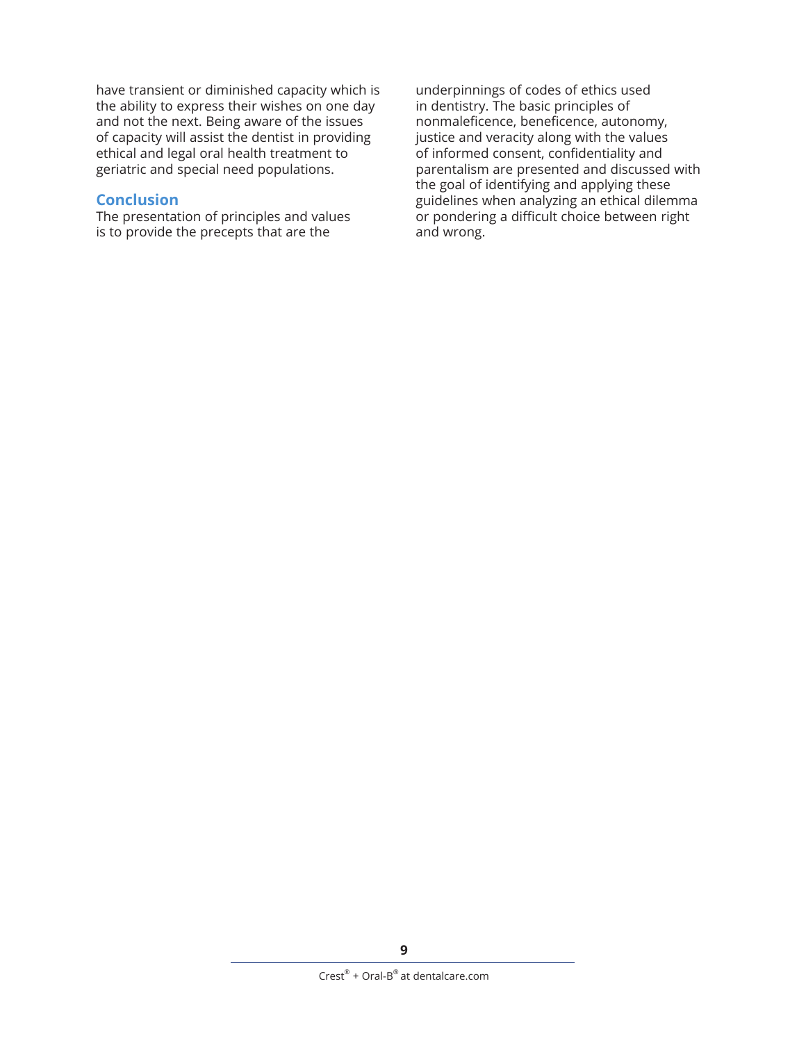have transient or diminished capacity which is the ability to express their wishes on one day and not the next. Being aware of the issues of capacity will assist the dentist in providing ethical and legal oral health treatment to geriatric and special need populations.

## **Conclusion**

The presentation of principles and values is to provide the precepts that are the

underpinnings of codes of ethics used in dentistry. The basic principles of nonmaleficence, beneficence, autonomy, justice and veracity along with the values of informed consent, confidentiality and parentalism are presented and discussed with the goal of identifying and applying these guidelines when analyzing an ethical dilemma or pondering a difficult choice between right and wrong.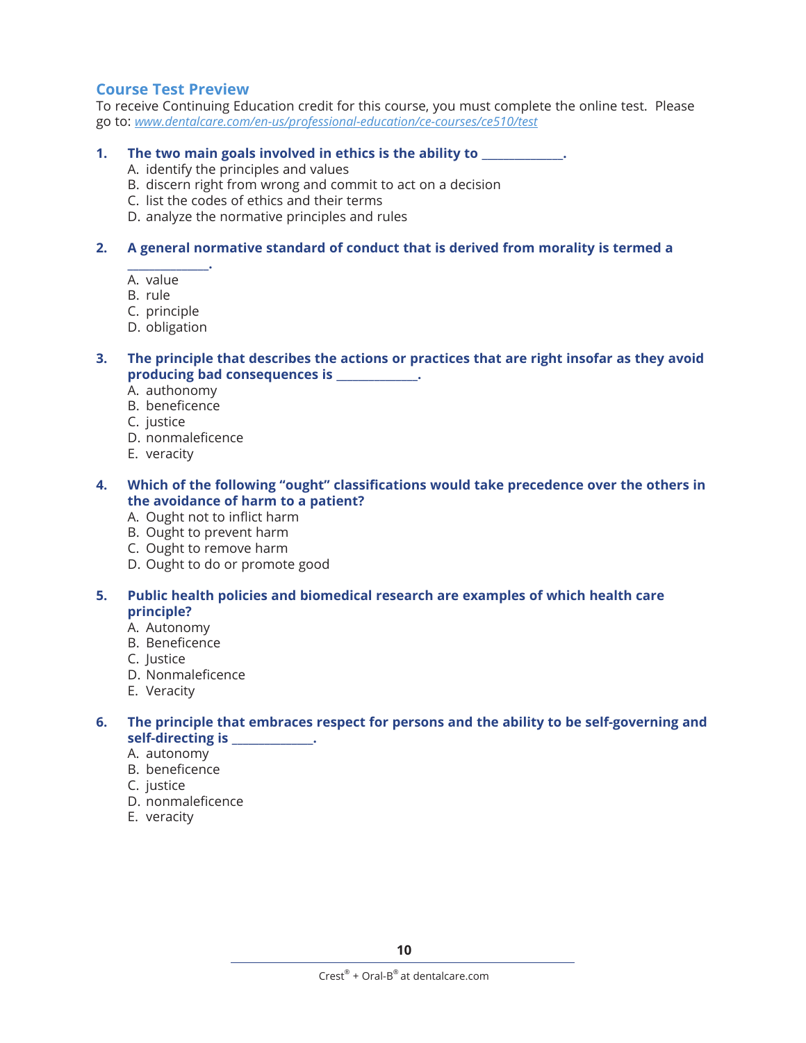# **Course Test Preview**

To receive Continuing Education credit for this course, you must complete the online test. Please go to: *[www.dentalcare.com/en-us/professional-education/ce-courses/ce510/test](http://www.dentalcare.com/en-us/professional-education/ce-courses/ce510/test)*

#### **1. The two main goals involved in ethics is the ability to \_\_\_\_\_\_\_\_\_\_\_\_\_\_\_.**

- A. identify the principles and values
- B. discern right from wrong and commit to act on a decision
- C. list the codes of ethics and their terms
- D. analyze the normative principles and rules

## **2. A general normative standard of conduct that is derived from morality is termed a**

**\_\_\_\_\_\_\_\_\_\_\_\_\_\_\_.** A. value

- B. rule
- C. principle
- D. obligation
- **3. The principle that describes the actions or practices that are right insofar as they avoid producing bad consequences is \_\_\_\_\_\_\_\_\_\_\_\_\_\_\_.**
	- A. authonomy
	- B. beneficence
	- C. justice
	- D. nonmaleficence
	- E. veracity
- **4. Which of the following "ought" classifications would take precedence over the others in the avoidance of harm to a patient?**
	- A. Ought not to inflict harm
	- B. Ought to prevent harm
	- C. Ought to remove harm
	- D. Ought to do or promote good
- **5. Public health policies and biomedical research are examples of which health care principle?**
	- A. Autonomy
	- B. Beneficence
	- C. Justice
	- D. Nonmaleficence
	- E. Veracity
- **6. The principle that embraces respect for persons and the ability to be self-governing and self-directing is \_\_\_\_\_\_\_\_\_\_\_\_\_\_\_.**
	- A. autonomy
	- B. beneficence
	- C. justice
	- D. nonmaleficence
	- E. veracity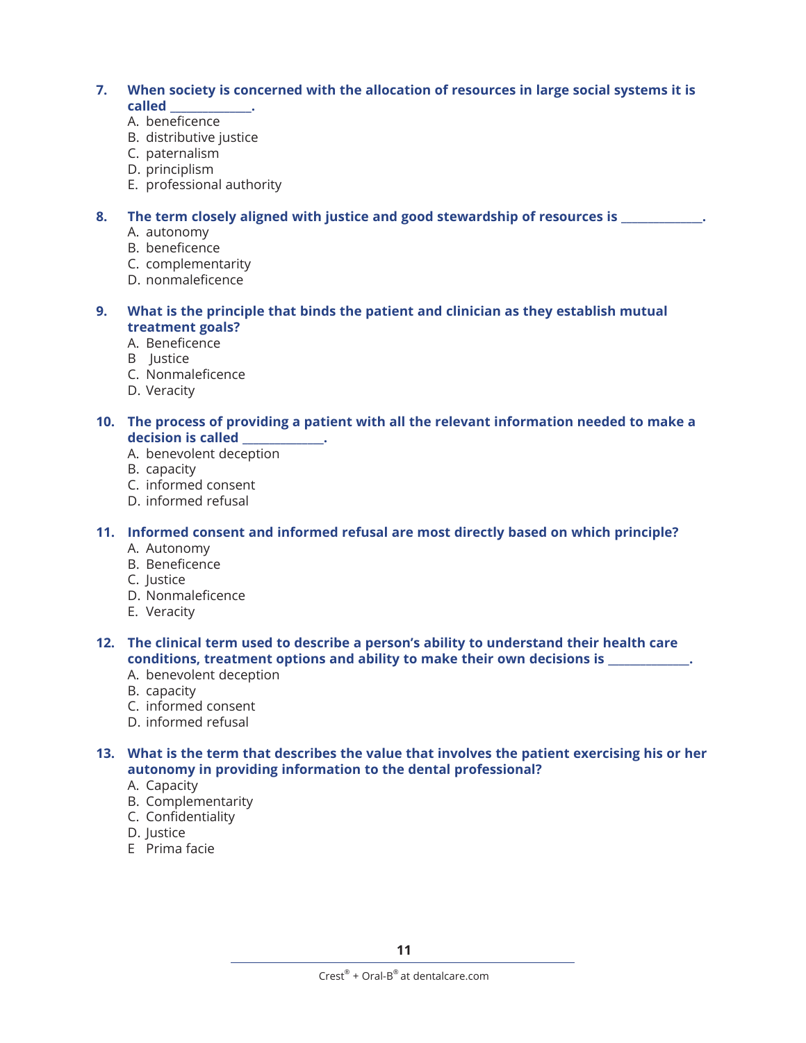## **7. When society is concerned with the allocation of resources in large social systems it is called \_\_\_\_\_\_\_\_\_\_\_\_\_\_\_.**

- A. beneficence
- B. distributive justice
- C. paternalism
- D. principlism
- E. professional authority

## **8. The term closely aligned with justice and good stewardship of resources is \_\_\_\_\_\_\_\_\_\_\_\_\_\_\_.**

- A. autonomy
- B. beneficence
- C. complementarity
- D. nonmaleficence
- **9. What is the principle that binds the patient and clinician as they establish mutual treatment goals?**
	- A. Beneficence
	- B Justice
	- C. Nonmaleficence
	- D. Veracity

#### **10. The process of providing a patient with all the relevant information needed to make a decision is called \_\_\_\_\_\_\_\_\_\_\_\_\_\_\_.**

- A. benevolent deception
- B. capacity
- C. informed consent
- D. informed refusal

## **11. Informed consent and informed refusal are most directly based on which principle?**

- A. Autonomy
- B. Beneficence
- C. Justice
- D. Nonmaleficence
- E. Veracity

## **12. The clinical term used to describe a person's ability to understand their health care conditions, treatment options and ability to make their own decisions is \_\_\_\_\_\_\_\_\_\_\_\_\_\_\_.**

- A. benevolent deception
- B. capacity
- C. informed consent
- D. informed refusal

### **13. What is the term that describes the value that involves the patient exercising his or her autonomy in providing information to the dental professional?**

- A. Capacity
- B. Complementarity
- C. Confidentiality
- D. Justice
- E Prima facie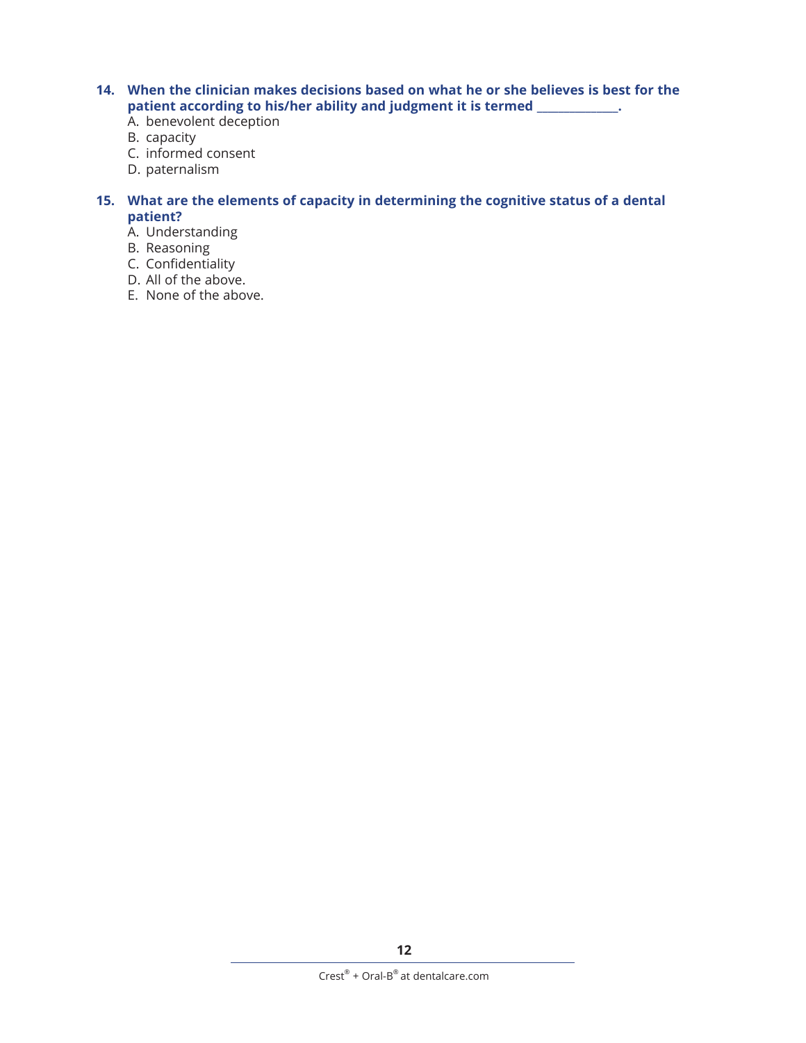- **14. When the clinician makes decisions based on what he or she believes is best for the patient according to his/her ability and judgment it is termed \_\_\_\_\_\_\_\_\_\_\_\_\_\_\_.**
	- A. benevolent deception
	- B. capacity
	- C. informed consent
	- D. paternalism

## **15. What are the elements of capacity in determining the cognitive status of a dental patient?**

- A. Understanding
- B. Reasoning
- C. Confidentiality
- D. All of the above.
- E. None of the above.